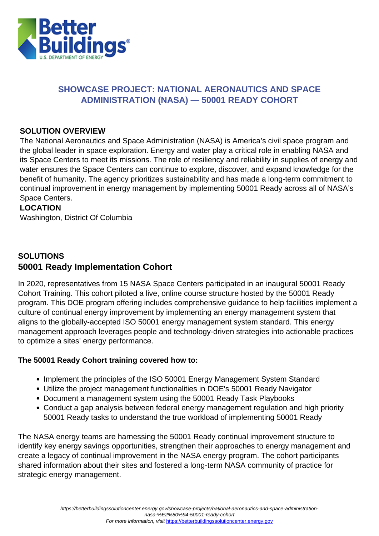

### **SHOWCASE PROJECT: NATIONAL AERONAUTICS AND SPACE ADMINISTRATION (NASA) — 50001 READY COHORT**

### **SOLUTION OVERVIEW**

The National Aeronautics and Space Administration (NASA) is America's civil space program and the global leader in space exploration. Energy and water play a critical role in enabling NASA and its Space Centers to meet its missions. The role of resiliency and reliability in supplies of energy and water ensures the Space Centers can continue to explore, discover, and expand knowledge for the benefit of humanity. The agency prioritizes sustainability and has made a long-term commitment to continual improvement in energy management by implementing 50001 Ready across all of NASA's Space Centers.

### **LOCATION**

Washington, District Of Columbia

### **SOLUTIONS 50001 Ready Implementation Cohort**

In 2020, representatives from 15 NASA Space Centers participated in an inaugural 50001 Ready Cohort Training. This cohort piloted a live, online course structure hosted by the 50001 Ready program. This DOE program offering includes comprehensive guidance to help facilities implement a culture of continual energy improvement by implementing an energy management system that aligns to the globally-accepted ISO 50001 energy management system standard. This energy management approach leverages people and technology-driven strategies into actionable practices to optimize a sites' energy performance.

### **The 50001 Ready Cohort training covered how to:**

- Implement the principles of the ISO 50001 Energy Management System Standard
- Utilize the project management functionalities in DOE's 50001 Ready Navigator
- Document a management system using the 50001 Ready Task Playbooks
- Conduct a gap analysis between federal energy management regulation and high priority 50001 Ready tasks to understand the true workload of implementing 50001 Ready

The NASA energy teams are harnessing the 50001 Ready continual improvement structure to identify key energy savings opportunities, strengthen their approaches to energy management and create a legacy of continual improvement in the NASA energy program. The cohort participants shared information about their sites and fostered a long-term NASA community of practice for strategic energy management.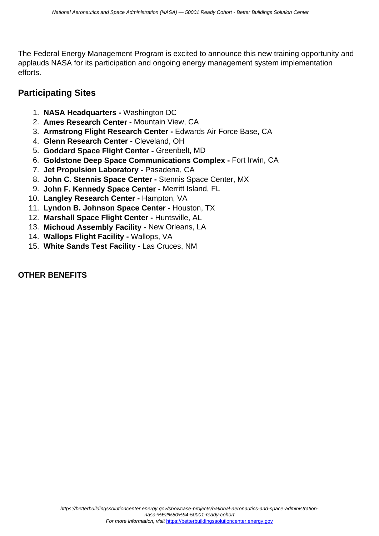The Federal Energy Management Program is excited to announce this new training opportunity and applauds NASA for its participation and ongoing energy management system implementation efforts.

## **Participating Sites**

- 1. **NASA Headquarters** Washington DC
- 2. **Ames Research Center** Mountain View, CA
- 3. **Armstrong Flight Research Center** Edwards Air Force Base, CA
- 4. **Glenn Research Center** Cleveland, OH
- 5. **Goddard Space Flight Center** Greenbelt, MD
- 6. **Goldstone Deep Space Communications Complex** Fort Irwin, CA
- 7. **Jet Propulsion Laboratory** Pasadena, CA
- 8. **John C. Stennis Space Center** Stennis Space Center, MX
- 9. **John F. Kennedy Space Center** Merritt Island, FL
- 10. **Langley Research Center** Hampton, VA
- 11. **Lyndon B. Johnson Space Center** Houston, TX
- 12. **Marshall Space Flight Center** Huntsville, AL
- 13. **Michoud Assembly Facility** New Orleans, LA
- 14. **Wallops Flight Facility** Wallops, VA
- 15. **White Sands Test Facility** Las Cruces, NM

### **OTHER BENEFITS**